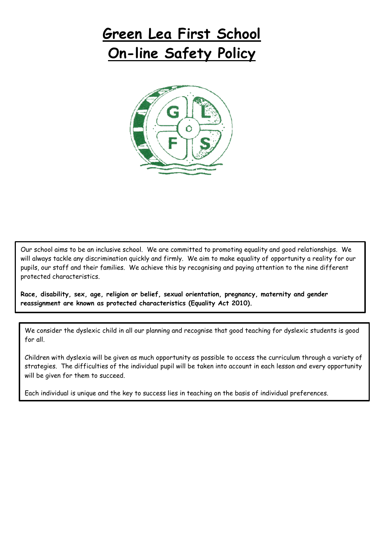# **Green Lea First School On-line Safety Policy**



Our school aims to be an inclusive school. We are committed to promoting equality and good relationships. We will always tackle any discrimination quickly and firmly. We aim to make equality of opportunity a reality for our pupils, our staff and their families. We achieve this by recognising and paying attention to the nine different protected characteristics.

**Race, disability, sex, age, religion or belief, sexual orientation, pregnancy, maternity and gender reassignment are known as protected characteristics (Equality Act 2010).**

We consider the dyslexic child in all our planning and recognise that good teaching for dyslexic students is good for all.

Children with dyslexia will be given as much opportunity as possible to access the curriculum through a variety of strategies. The difficulties of the individual pupil will be taken into account in each lesson and every opportunity will be given for them to succeed.

Each individual is unique and the key to success lies in teaching on the basis of individual preferences.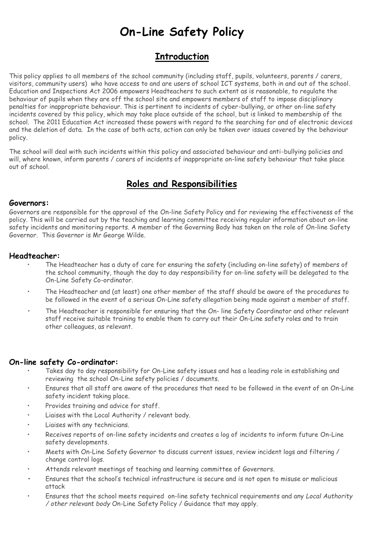## **On-Line Safety Policy**

## **Introduction**

This policy applies to all members of the school community (including staff, pupils, volunteers, parents / carers, visitors, community users) who have access to and are users of school ICT systems, both in and out of the school. Education and Inspections Act 2006 empowers Headteachers to such extent as is reasonable, to regulate the behaviour of pupils when they are off the school site and empowers members of staff to impose disciplinary penalties for inappropriate behaviour. This is pertinent to incidents of cyber-bullying, or other on-line safety incidents covered by this policy, which may take place outside of the school, but is linked to membership of the school. The 2011 Education Act increased these powers with regard to the searching for and of electronic devices and the deletion of data. In the case of both acts, action can only be taken over issues covered by the behaviour policy.

The school will deal with such incidents within this policy and associated behaviour and anti-bullying policies and will, where known, inform parents / carers of incidents of inappropriate on-line safety behaviour that take place out of school.

## **Roles and Responsibilities**

#### **Governors:**

Governors are responsible for the approval of the On-line Safety Policy and for reviewing the effectiveness of the policy. This will be carried out by the teaching and learning committee receiving regular information about on-line safety incidents and monitoring reports. A member of the Governing Body has taken on the role of On-line Safety Governor. This Governor is Mr George Wilde.

#### **Headteacher:**

- The Headteacher has a duty of care for ensuring the safety (including on-line safety) of members of the school community, though the day to day responsibility for on-line safety will be delegated to the On-Line Safety Co-ordinator.
- The Headteacher and (at least) one other member of the staff should be aware of the procedures to be followed in the event of a serious On-Line safety allegation being made against a member of staff.
- *•* The Headteacher is responsible for ensuring that the On- line Safety Coordinator and other relevant staff receive suitable training to enable them to carry out their On-Line safety roles and to train other colleagues, as relevant.

#### **On-line safety Co-ordinator:**

- Takes day to day responsibility for On-Line safety issues and has a leading role in establishing and reviewing the school On-Line safety policies / documents.
- Ensures that all staff are aware of the procedures that need to be followed in the event of an On-Line safety incident taking place.
- Provides training and advice for staff.
- Liaises with the Local Authority / relevant body.
- Liaises with any technicians.
- Receives reports of on-line safety incidents and creates a log of incidents to inform future On-Line safety developments.
- Meets with On-Line Safety Governor to discuss current issues, review incident logs and filtering / change control logs.
- Attends relevant meetings of teaching and learning committee of Governors.
- **•** Ensures that the school's technical infrastructure is secure and is not open to misuse or malicious attack
- Ensures that the school meets required on-line safety technical requirements and any *Local Authority / other relevant body* On-Line Safety Policy / Guidance that may apply.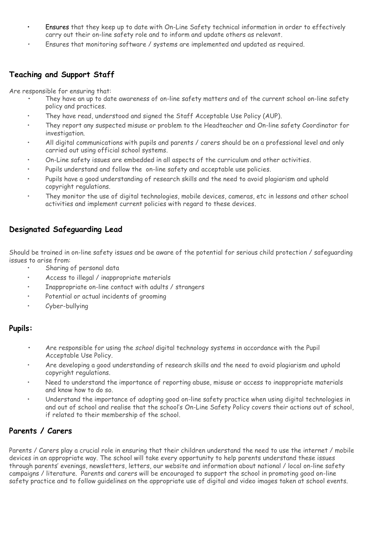- Ensures that they keep up to date with On-Line Safety technical information in order to effectively carry out their on-line safety role and to inform and update others as relevant.
- *•* Ensures that monitoring software / systems are implemented and updated as required.

### **Teaching and Support Staff**

Are responsible for ensuring that:

- **•** They have an up to date awareness of on-line safety matters and of the current school on-line safety policy and practices.
- They have read, understood and signed the Staff Acceptable Use Policy (AUP).
- They report any suspected misuse or problem to the Headteacher and On-line safety Coordinator for investigation.
- All digital communications with pupils and parents / carers should be on a professional level and only carried out using official school systems.
- On-Line safety issues are embedded in all aspects of the curriculum and other activities.
- Pupils understand and follow the on-line safety and acceptable use policies.
- Pupils have a good understanding of research skills and the need to avoid plagiarism and uphold copyright regulations.
- They monitor the use of digital technologies, mobile devices, cameras, etc in lessons and other school activities and implement current policies with regard to these devices.

### **Designated Safeguarding Lead**

Should be trained in on-line safety issues and be aware of the potential for serious child protection / safeguarding issues to arise from:

- Sharing of personal data
- Access to illegal / inappropriate materials
- Inappropriate on-line contact with adults / strangers
- Potential or actual incidents of grooming
- Cyber-bullying

#### **Pupils:**

- **•** Are responsible for using the *school* digital technology systems in accordance with the Pupil Acceptable Use Policy.
- Are developing a good understanding of research skills and the need to avoid plagiarism and uphold copyright regulations.
- Need to understand the importance of reporting abuse, misuse or access to inappropriate materials and know how to do so.
- Understand the importance of adopting good on-line safety practice when using digital technologies in and out of school and realise that the school's On-Line Safety Policy covers their actions out of school, if related to their membership of the school.

### **Parents / Carers**

Parents / Carers play a crucial role in ensuring that their children understand the need to use the internet / mobile devices in an appropriate way. The school will take every opportunity to help parents understand these issues through parents' evenings, newsletters, letters, our website and information about national / local on-line safety campaigns / literature. Parents and carers will be encouraged to support the school in promoting good on-line safety practice and to follow guidelines on the appropriate use of digital and video images taken at school events.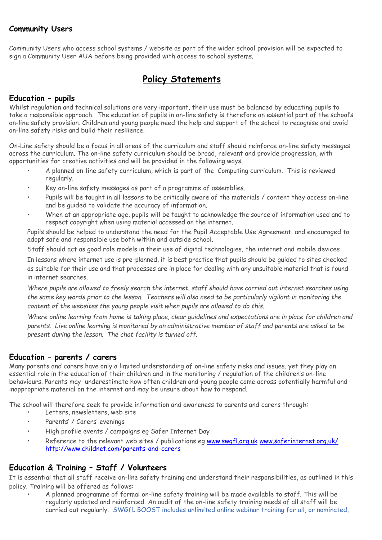## **Community Users**

Community Users who access school systems / website as part of the wider school provision will be expected to sign a Community User AUA before being provided with access to school systems.

## **Policy Statements**

#### **Education – pupils**

Whilst regulation and technical solutions are very important, their use must be balanced by educating pupils to take a responsible approach. The education of pupils in on-line safety is therefore an essential part of the school's on-line safety provision. Children and young people need the help and support of the school to recognise and avoid on-line safety risks and build their resilience.

On-Line safety should be a focus in all areas of the curriculum and staff should reinforce on-line safety messages across the curriculum. The on-line safety curriculum should be broad, relevant and provide progression, with opportunities for creative activities and will be provided in the following ways:

- A planned on-line safety curriculum, which is part of the Computing curriculum. This is reviewed regularly.
- Key on-line safety messages as part of a programme of assemblies.
- Pupils will be taught in all lessons to be critically aware of the materials / content they access on-line and be guided to validate the accuracy of information.
- When at an appropriate age, pupils will be taught to acknowledge the source of information used and to respect copyright when using material accessed on the internet.

Pupils should be helped to understand the need for the Pupil Acceptable Use Agreement and encouraged to adopt safe and responsible use both within and outside school.

Staff should act as good role models in their use of digital technologies, the internet and mobile devices

In lessons where internet use is pre-planned, it is best practice that pupils should be guided to sites checked as suitable for their use and that processes are in place for dealing with any unsuitable material that is found in internet searches.

*Where pupils are allowed to freely search the internet, staff should have carried out internet searches using the same key words prior to the lesson. Teachers will also need to be particularly vigilant in monitoring the content of the websites the young people visit when pupils are allowed to do this..* 

*Where online learning from home is taking place, clear guidelines and expectations are in place for children and parents. Live online learning is monitored by an administrative member of staff and parents are asked to be present during the lesson. The chat facility is turned off.*

### **Education – parents / carers**

Many parents and carers have only a limited understanding of on-line safety risks and issues, yet they play an essential role in the education of their children and in the monitoring / regulation of the children's on-line behaviours. Parents may underestimate how often children and young people come across potentially harmful and inappropriate material on the internet and may be unsure about how to respond.

The school will therefore seek to provide information and awareness to parents and carers through:

- Letters, newsletters, web site
- Parents' / Carers' evenings
- High profile events / campaigns eg Safer Internet Day
- Reference to the relevant web sites / publications eg [www.swgfl.org.uk](http://www.swgfl.org.uk/) [www.saferinternet.org.uk/](http://www.saferinternet.org.uk/)  <http://www.childnet.com/parents-and-carers>

### **Education & Training – Staff / Volunteers**

It is essential that all staff receive on-line safety training and understand their responsibilities, as outlined in this policy. Training will be offered as follows:

• A planned programme of formal on-line safety training will be made available to staff. This will be regularly updated and reinforced. An audit of the on-line safety training needs of all staff will be carried out regularly. SWGfL BOOST includes unlimited online webinar training for all, or nominated,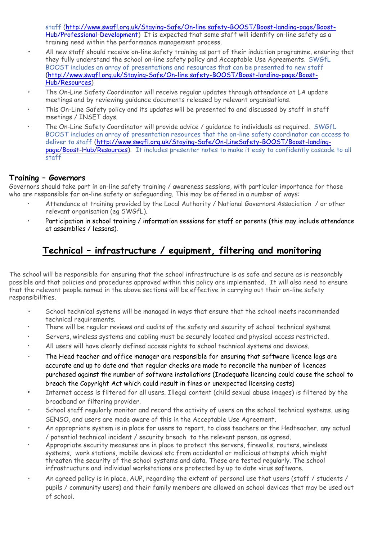staff [\(http://www.swgfl.org.uk/Staying-Safe/On-line safety-BOOST/Boost-landing-page/Boost-](http://www.swgfl.org.uk/Staying-Safe/E-Safety-BOOST/Boost-landing-page/Boost-Hub/Professional-Development)[Hub/Professional-Development\)](http://www.swgfl.org.uk/Staying-Safe/E-Safety-BOOST/Boost-landing-page/Boost-Hub/Professional-Development) It is expected that some staff will identify on-line safety as a training need within the performance management process.

- **•** All new staff should receive on-line safety training as part of their induction programme, ensuring that they fully understand the school on-line safety policy and Acceptable Use Agreements. SWGfL BOOST includes an array of presentations and resources that can be presented to new staff **(**[http://www.swgfl.org.uk/Staying-Safe/On-line safety-BOOST/Boost-landing-page/Boost-](http://www.swgfl.org.uk/Staying-Safe/E-Safety-BOOST/Boost-landing-page/Boost-Hub/Resources)[Hub/Resources\)](http://www.swgfl.org.uk/Staying-Safe/E-Safety-BOOST/Boost-landing-page/Boost-Hub/Resources)
- The On-Line Safety Coordinator will receive regular updates through attendance at LA update meetings and by reviewing guidance documents released by relevant organisations.
- This On-Line Safety policy and its updates will be presented to and discussed by staff in staff meetings / INSET days.
- The On-Line Safety Coordinator will provide advice / guidance to individuals as required. SWGfL BOOST includes an array of presentation resources that the on-line safety coordinator can access to deliver to staff [\(http://www.swgfl.org.uk/Staying-Safe/On-LineSafety-BOOST/Boost-landing](http://www.swgfl.org.uk/Staying-Safe/On-LineSafety-BOOST/Boost-landing-page/Boost-Hub/Resources)[page/Boost-Hub/Resources\)](http://www.swgfl.org.uk/Staying-Safe/On-LineSafety-BOOST/Boost-landing-page/Boost-Hub/Resources). It includes presenter notes to make it easy to confidently cascade to all staff

#### **Training – Governors**

Governors should take part in on-line safety training / awareness sessions, with particular importance for those who are responsible for on-line safety or safeguarding. This may be offered in a number of ways:

- Attendance at training provided by the Local Authority / National Governors Association / or other relevant organisation (eg SWGfL).
- Participation in school training / information sessions for staff or parents (this may include attendance at assemblies / lessons).

## **Technical – infrastructure / equipment, filtering and monitoring**

The school will be responsible for ensuring that the school infrastructure is as safe and secure as is reasonably possible and that policies and procedures approved within this policy are implemented. It will also need to ensure that the relevant people named in the above sections will be effective in carrying out their on-line safety responsibilities.

- **•** School technical systems will be managed in ways that ensure that the school meets recommended technical requirements.
- There will be regular reviews and audits of the safety and security of school technical systems.
- Servers, wireless systems and cabling must be securely located and physical access restricted.
- All users will have clearly defined access rights to school technical systems and devices.
- *•* The Head teacher and office manager are responsible for ensuring that software licence logs are accurate and up to date and that regular checks are made to reconcile the number of licences purchased against the number of software installations (Inadequate licencing could cause the school to breach the Copyright Act which could result in fines or unexpected licensing costs)
- *•* Internet access is filtered for all users. Illegal content (child sexual abuse images) is filtered by the broadband or filtering provider.
- *•* School staff regularly monitor and record the activity of users on the school technical systems, using SENSO, and users are made aware of this in the Acceptable Use Agreement.
- *•* An appropriate system is in place for users to report, to class teachers or the Hedteacher, any actual / potential technical incident / security breach to the relevant person, as agreed.
- Appropriate security measures are in place to protect the servers, firewalls, routers, wireless systems, work stations, mobile devices etc from accidental or malicious attempts which might threaten the security of the school systems and data. These are tested regularly. The school infrastructure and individual workstations are protected by up to date virus software.
- *•* An agreed policy is in place, AUP, regarding the extent of personal use that users (staff / students / pupils / community users) and their family members are allowed on school devices that may be used out of school.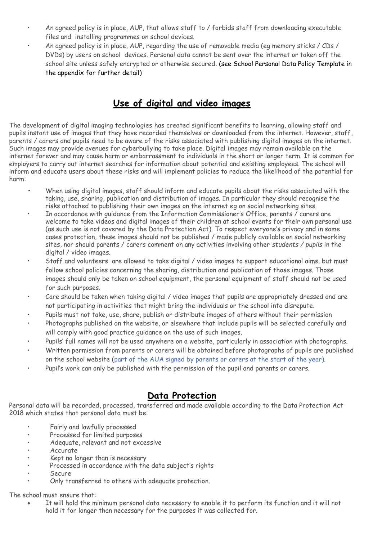- An agreed policy is in place, AUP, that allows staff to / forbids staff from downloading executable files and installing programmes on school devices.
- An agreed policy is in place, AUP, regarding the use of removable media (eg memory sticks / CDs / DVDs) by users on school devices. Personal data cannot be sent over the internet or taken off the school site unless safely encrypted or otherwise secured. (see School Personal Data Policy Template in the appendix for further detail)

## **Use of digital and video images**

The development of digital imaging technologies has created significant benefits to learning, allowing staff and pupils instant use of images that they have recorded themselves or downloaded from the internet. However, staff, parents / carers and pupils need to be aware of the risks associated with publishing digital images on the internet. Such images may provide avenues for cyberbullying to take place. Digital images may remain available on the internet forever and may cause harm or embarrassment to individuals in the short or longer term. It is common for employers to carry out internet searches for information about potential and existing employees. The school will inform and educate users about these risks and will implement policies to reduce the likelihood of the potential for harm:

- **•** When using digital images, staff should inform and educate pupils about the risks associated with the taking, use, sharing, publication and distribution of images. In particular they should recognise the risks attached to publishing their own images on the internet eg on social networking sites.
- In accordance with quidance from the Information Commissioner's Office, parents / carers are welcome to take videos and digital images of their children at school events for their own personal use (as such use is not covered by the Data Protection Act). To respect everyone's privacy and in some cases protection, these images should not be published / made publicly available on social networking sites, nor should parents / carers comment on any activities involving other *students / pupils* in the digital / video images.
- Staff and volunteers are allowed to take digital / video images to support educational aims, but must follow school policies concerning the sharing, distribution and publication of those images. Those images should only be taken on school equipment, the personal equipment of staff should not be used for such purposes.
- Care should be taken when taking digital / video images that pupils are appropriately dressed and are not participating in activities that might bring the individuals or the school into disrepute.
- Pupils must not take, use, share, publish or distribute images of others without their permission
- Photographs published on the website, or elsewhere that include pupils will be selected carefully and will comply with good practice guidance on the use of such images.
- Pupils' full names will not be used anywhere on a website, particularly in association with photographs.
- Written permission from parents or carers will be obtained before photographs of pupils are published on the school website (part of the AUA signed by parents or carers at the start of the year).
- Pupil's work can only be published with the permission of the pupil and parents or carers.

## **Data Protection**

Personal data will be recorded, processed, transferred and made available according to the Data Protection Act 2018 which states that personal data must be:

- Fairly and lawfully processed
- Processed for limited purposes
- Adequate, relevant and not excessive
- Accurate
- Kept no longer than is necessary
- Processed in accordance with the data subject's rights
- Secure
- Only transferred to others with adequate protection.

The school must ensure that:

 It will hold the minimum personal data necessary to enable it to perform its function and it will not hold it for longer than necessary for the purposes it was collected for.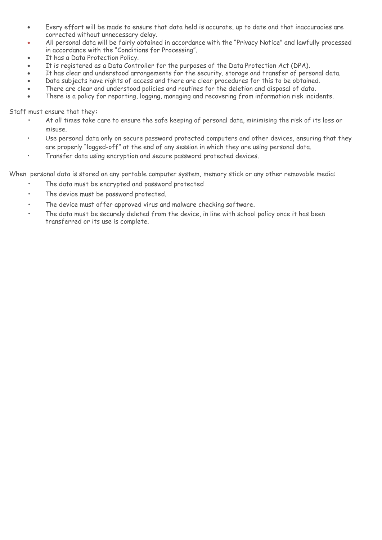- Every effort will be made to ensure that data held is accurate, up to date and that inaccuracies are corrected without unnecessary delay.
- All personal data will be fairly obtained in accordance with the "Privacy Notice" and lawfully processed in accordance with the "Conditions for Processing".
- It has a Data Protection Policy.
- It is registered as a Data Controller for the purposes of the Data Protection Act (DPA).
- It has clear and understood arrangements for the security, storage and transfer of personal data.
- Data subjects have rights of access and there are clear procedures for this to be obtained.
- There are clear and understood policies and routines for the deletion and disposal of data.
- There is a policy for reporting, logging, managing and recovering from information risk incidents.

Staff must ensure that they**:**

- **•** At all times take care to ensure the safe keeping of personal data, minimising the risk of its loss or misuse.
- Use personal data only on secure password protected computers and other devices, ensuring that they are properly "logged-off" at the end of any session in which they are using personal data.
- Transfer data using encryption and secure password protected devices.

When personal data is stored on any portable computer system, memory stick or any other removable media:

- **•** The data must be encrypted and password protected
- **•** The device must be password protected.
- **•** The device must offer approved virus and malware checking software.
- **•** The data must be securely deleted from the device, in line with school policy once it has been transferred or its use is complete.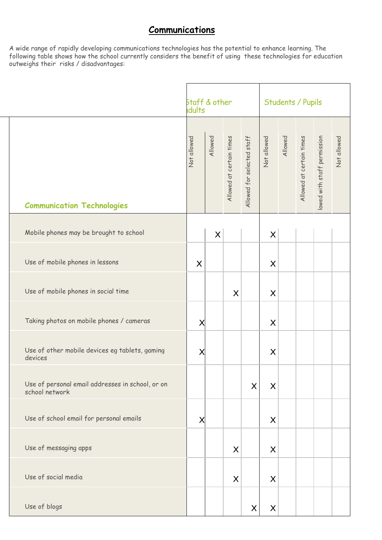## **Communications**

A wide range of rapidly developing communications technologies has the potential to enhance learning. The following table shows how the school currently considers the benefit of using these technologies for education outweighs their risks / disadvantages:

|                                                                    | 5taff & other<br>Idults |          |                          |                            | Students / Pupils |         |                          |                             |             |  |
|--------------------------------------------------------------------|-------------------------|----------|--------------------------|----------------------------|-------------------|---------|--------------------------|-----------------------------|-------------|--|
| <b>Communication Technologies</b>                                  | Not allowed             | Allowed  | Allowed at certain times | Allowed for selected staff | Not allowed       | Allowed | Allowed at certain times | lowed with staff permission | Not allowed |  |
| Mobile phones may be brought to school                             |                         | $\times$ |                          |                            | $\times$          |         |                          |                             |             |  |
| Use of mobile phones in lessons                                    | $\mathsf{X}$            |          |                          |                            | $\times$          |         |                          |                             |             |  |
| Use of mobile phones in social time                                |                         |          | $\times$                 |                            | $\times$          |         |                          |                             |             |  |
| Taking photos on mobile phones / cameras                           | X                       |          |                          |                            | $\times$          |         |                          |                             |             |  |
| Use of other mobile devices eg tablets, gaming<br>devices          | Χ                       |          |                          |                            | $\times$          |         |                          |                             |             |  |
| Use of personal email addresses in school, or on<br>school network |                         |          |                          | $\times$                   | $\times$          |         |                          |                             |             |  |
| Use of school email for personal emails                            | X                       |          |                          |                            | $\times$          |         |                          |                             |             |  |
| Use of messaging apps                                              |                         |          | $\times$                 |                            | $\times$          |         |                          |                             |             |  |
| Use of social media                                                |                         |          | $\times$                 |                            | $\times$          |         |                          |                             |             |  |
| Use of blogs                                                       |                         |          |                          | $\times$                   | $\times$          |         |                          |                             |             |  |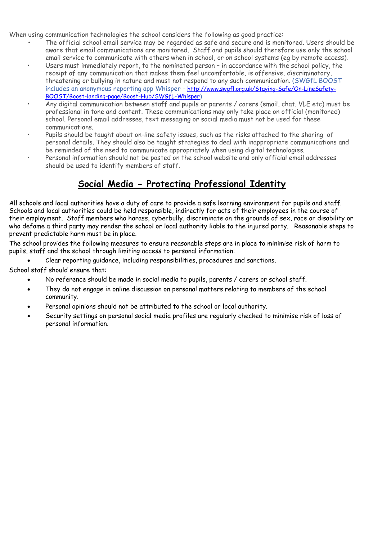When using communication technologies the school considers the following as good practice:

- **•** The official school email service may be regarded as safe and secure and is monitored. Users should be aware that email communications are monitored. Staff and pupils should therefore use only the school email service to communicate with others when in school, or on school systems (eg by remote access).
- Users must immediately report, to the nominated person in accordance with the school policy, the receipt of any communication that makes them feel uncomfortable, is offensive, discriminatory, threatening or bullying in nature and must not respond to any such communication. (SWGfL BOOST includes an anonymous reporting app Whisper - [http://www.swgfl.org.uk/Staying-Safe/On-LineSafety-](http://www.swgfl.org.uk/Staying-Safe/On-LineSafety-BOOST/Boost-landing-page/Boost-Hub/SWGfL-Whisper)[BOOST/Boost-landing-page/Boost-Hub/SWGfL-Whisper\)](http://www.swgfl.org.uk/Staying-Safe/On-LineSafety-BOOST/Boost-landing-page/Boost-Hub/SWGfL-Whisper)
- Any digital communication between staff and pupils or parents / carers (email, chat, VLE etc) must be professional in tone and content. These communications may only take place on official (monitored) school. Personal email addresses, text messaging or social media must not be used for these communications.
- Pupils should be taught about on-line safety issues, such as the risks attached to the sharing of personal details. They should also be taught strategies to deal with inappropriate communications and be reminded of the need to communicate appropriately when using digital technologies.
- Personal information should not be posted on the school website and only official email addresses should be used to identify members of staff.

## **Social Media - Protecting Professional Identity**

All schools and local authorities have a duty of care to provide a safe learning environment for pupils and staff. Schools and local authorities could be held responsible, indirectly for acts of their employees in the course of their employment. Staff members who harass, cyberbully, discriminate on the grounds of sex, race or disability or who defame a third party may render the school or local authority liable to the injured party. Reasonable steps to prevent predictable harm must be in place.

The school provides the following measures to ensure reasonable steps are in place to minimise risk of harm to pupils, staff and the school through limiting access to personal information:

Clear reporting guidance, including responsibilities, procedures and sanctions.

School staff should ensure that:

- No reference should be made in social media to pupils, parents / carers or school staff.
- They do not engage in online discussion on personal matters relating to members of the school community.
- Personal opinions should not be attributed to the school or local authority.
- Security settings on personal social media profiles are regularly checked to minimise risk of loss of personal information.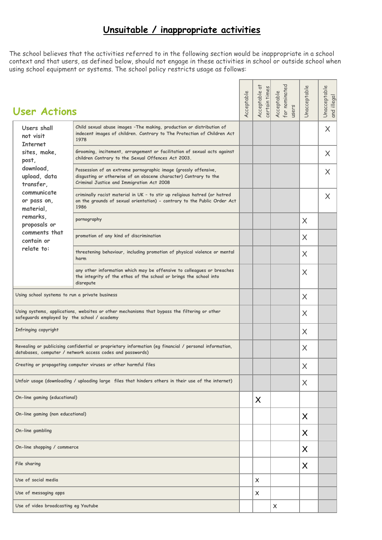## **Unsuitable / inappropriate activities**

The school believes that the activities referred to in the following section would be inappropriate in a school context and that users, as defined below, should not engage in these activities in school or outside school when using school equipment or systems. The school policy restricts usage as follows:

| <b>User Actions</b>                                                                                                                                                 |                                                                                                                                                                                  | Acceptable | t<br>certain times<br>Acceptable | for nominated<br>Acceptable<br>users | Unacceptable | Unacceptable<br>and illegal |
|---------------------------------------------------------------------------------------------------------------------------------------------------------------------|----------------------------------------------------------------------------------------------------------------------------------------------------------------------------------|------------|----------------------------------|--------------------------------------|--------------|-----------------------------|
| Users shall<br>not visit<br><b>Internet</b>                                                                                                                         | Child sexual abuse images - The making, production or distribution of<br>indecent images of children. Contrary to The Protection of Children Act<br>1978                         |            |                                  |                                      |              | $\times$                    |
| sites, make,<br>post,                                                                                                                                               | Grooming, incitement, arrangement or facilitation of sexual acts against<br>children Contrary to the Sexual Offences Act 2003.                                                   |            |                                  |                                      |              | X                           |
| download.<br>upload, data<br>transfer,                                                                                                                              | Possession of an extreme pornographic image (grossly offensive,<br>disgusting or otherwise of an obscene character) Contrary to the<br>Criminal Justice and Immigration Act 2008 |            |                                  |                                      |              | X                           |
| communicate<br>or pass on,<br>material,                                                                                                                             | criminally racist material in UK - to stir up religious hatred (or hatred<br>on the grounds of sexual orientation) - contrary to the Public Order Act<br>1986                    |            |                                  |                                      |              | $\times$                    |
| remarks.<br>proposals or                                                                                                                                            | pornography                                                                                                                                                                      |            |                                  |                                      | $\times$     |                             |
| comments that<br>contain or                                                                                                                                         | promotion of any kind of discrimination                                                                                                                                          |            |                                  |                                      | X            |                             |
| relate to:                                                                                                                                                          | threatening behaviour, including promotion of physical violence or mental<br>harm                                                                                                |            |                                  |                                      |              |                             |
|                                                                                                                                                                     | any other information which may be offensive to colleagues or breaches<br>the integrity of the ethos of the school or brings the school into<br>disrepute                        |            |                                  |                                      | X            |                             |
| Using school systems to run a private business                                                                                                                      |                                                                                                                                                                                  |            |                                  | $\times$                             |              |                             |
| Using systems, applications, websites or other mechanisms that bypass the filtering or other<br>safeguards employed by the school / academy                         |                                                                                                                                                                                  |            |                                  |                                      | $\times$     |                             |
| Infringing copyright                                                                                                                                                |                                                                                                                                                                                  |            |                                  | X                                    |              |                             |
| Revealing or publicising confidential or proprietary information (eg financial / personal information,<br>databases, computer / network access codes and passwords) |                                                                                                                                                                                  |            |                                  |                                      | X            |                             |
|                                                                                                                                                                     | Creating or propagating computer viruses or other harmful files                                                                                                                  |            |                                  |                                      | Χ            |                             |
|                                                                                                                                                                     | Unfair usage (downloading / uploading large files that hinders others in their use of the internet)                                                                              |            |                                  |                                      | X            |                             |
| On-line gaming (educational)                                                                                                                                        |                                                                                                                                                                                  |            | X                                |                                      |              |                             |
| On-line gaming (non educational)                                                                                                                                    |                                                                                                                                                                                  |            |                                  |                                      | X            |                             |
| On-line gambling                                                                                                                                                    |                                                                                                                                                                                  |            |                                  |                                      | $\times$     |                             |
| On-line shopping / commerce                                                                                                                                         |                                                                                                                                                                                  |            |                                  |                                      | X            |                             |
| File sharing                                                                                                                                                        |                                                                                                                                                                                  |            |                                  |                                      | X            |                             |
| Use of social media                                                                                                                                                 |                                                                                                                                                                                  |            |                                  |                                      |              |                             |
| Use of messaging apps                                                                                                                                               |                                                                                                                                                                                  |            | X                                |                                      |              |                             |
| Use of video broadcasting eg Youtube                                                                                                                                |                                                                                                                                                                                  |            | X                                |                                      |              |                             |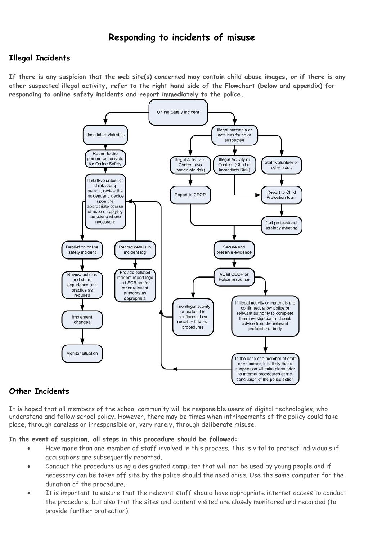## **Responding to incidents of misuse**

#### **Illegal Incidents**

**If there is any suspicion that the web site(s) concerned may contain child abuse images, or if there is any other suspected illegal activity, refer to the right hand side of the Flowchart (below and appendix) for responding to online safety incidents and report immediately to the police.** 



## **Other Incidents**

It is hoped that all members of the school community will be responsible users of digital technologies, who understand and follow school policy. However, there may be times when infringements of the policy could take place, through careless or irresponsible or, very rarely, through deliberate misuse.

**In the event of suspicion, all steps in this procedure should be followed:**

- Have more than one member of staff involved in this process. This is vital to protect individuals if accusations are subsequently reported.
- Conduct the procedure using a designated computer that will not be used by young people and if necessary can be taken off site by the police should the need arise. Use the same computer for the duration of the procedure.
- It is important to ensure that the relevant staff should have appropriate internet access to conduct the procedure, but also that the sites and content visited are closely monitored and recorded (to provide further protection).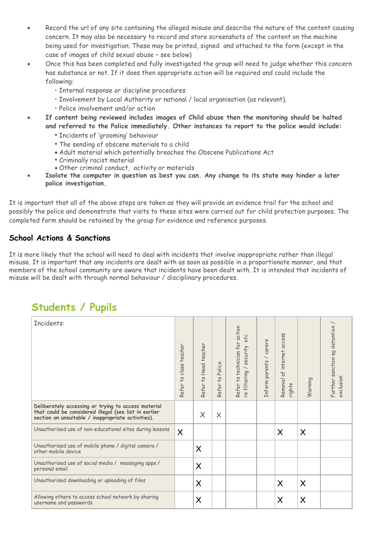- Record the url of any site containing the alleged misuse and describe the nature of the content causing concern. It may also be necessary to record and store screenshots of the content on the machine being used for investigation. These may be printed, signed and attached to the form (except in the case of images of child sexual abuse – see below)
- Once this has been completed and fully investigated the group will need to judge whether this concern has substance or not. If it does then appropriate action will be required and could include the following:
	- Internal response or discipline procedures
	- Involvement by Local Authority or national / local organisation (as relevant).
	- Police involvement and/or action
- **If content being reviewed includes images of Child abuse then the monitoring should be halted and referred to the Police immediately. Other instances to report to the police would include:**
	- *•* Incidents of 'grooming' behaviour
	- *•* The sending of obscene materials to a child
	- Adult material which potentially breaches the Obscene Publications Act
	- *•* Criminally racist material
	- Other criminal conduct, activity or materials
- **Isolate the computer in question as best you can. Any change to its state may hinder a later police investigation.**

It is important that all of the above steps are taken as they will provide an evidence trail for the school and possibly the police and demonstrate that visits to these sites were carried out for child protection purposes. The completed form should be retained by the group for evidence and reference purposes.

## **School Actions & Sanctions**

It is more likely that the school will need to deal with incidents that involve inappropriate rather than illegal misuse. It is important that any incidents are dealt with as soon as possible in a proportionate manner, and that members of the school community are aware that incidents have been dealt with. It is intended that incidents of misuse will be dealt with through normal behaviour / disciplinary procedures.

## **Students / Pupils**

| Incidents:                                                                                                                                                         | Refer to class teacher | Refer to Head teacher | Police<br>Refer to | Refer to technician for action<br>etc<br>re filtering / security | / carers<br>Inform parents | Removal of internet access<br>rights | Warning  | Further sanction eg detention / $\hspace{0.1mm}$<br>exclusion |
|--------------------------------------------------------------------------------------------------------------------------------------------------------------------|------------------------|-----------------------|--------------------|------------------------------------------------------------------|----------------------------|--------------------------------------|----------|---------------------------------------------------------------|
| Deliberately accessing or trying to access material<br>that could be considered illegal (see list in earlier<br>section on unsuitable / inappropriate activities). |                        | $\times$              | $\times$           |                                                                  |                            |                                      |          |                                                               |
| Unauthorised use of non-educational sites during lessons                                                                                                           | $\times$               |                       |                    |                                                                  |                            | $\times$                             | $\times$ |                                                               |
| Unauthorised use of mobile phone / digital camera /<br>other mobile device                                                                                         |                        | $\sf X$               |                    |                                                                  |                            |                                      |          |                                                               |
| Unauthorised use of social media / messaging apps /<br>personal email                                                                                              |                        | $\sf X$               |                    |                                                                  |                            |                                      |          |                                                               |
| Unauthorised downloading or uploading of files                                                                                                                     |                        | $\sf X$               |                    |                                                                  |                            | $\times$                             | $\times$ |                                                               |
| Allowing others to access school network by sharing<br>username and passwords                                                                                      |                        | $\times$              |                    |                                                                  |                            | X                                    | $\times$ |                                                               |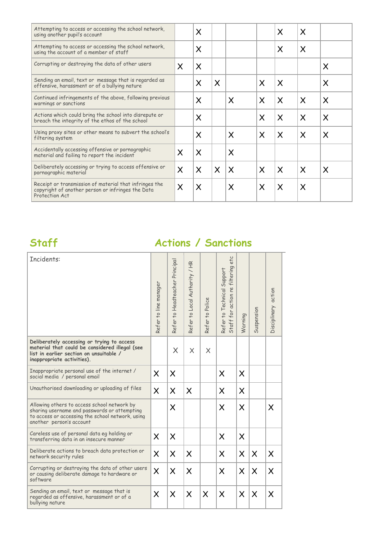| Attempting to access or accessing the school network,<br>using another pupil's account                                        |                         | $\times$ |              |          |          | $\times$                  | X        |          |
|-------------------------------------------------------------------------------------------------------------------------------|-------------------------|----------|--------------|----------|----------|---------------------------|----------|----------|
| Attempting to access or accessing the school network,<br>using the account of a member of staff                               |                         | $\times$ |              |          |          | $\times$                  | $\times$ |          |
| Corrupting or destroying the data of other users                                                                              | X                       | $\times$ |              |          |          |                           |          | X        |
| Sending an email, text or message that is regarded as<br>offensive, harassment or of a bullying nature                        |                         | $\times$ | $\times$     |          | X        | $\times$                  |          | X        |
| Continued infringements of the above, following previous<br>warnings or sanctions                                             |                         | $\times$ |              | X        | $\times$ | $\times$                  | $\times$ | X        |
| Actions which could bring the school into disrepute or<br>breach the integrity of the ethos of the school                     |                         | $\times$ |              |          | X        | $\boldsymbol{\mathsf{X}}$ | $\times$ | $\times$ |
| Using proxy sites or other means to subvert the school's<br>filtering system                                                  |                         | $\times$ |              | $\times$ | $\times$ | $\boldsymbol{\mathsf{X}}$ | $\times$ | X        |
| Accidentally accessing offensive or pornographic<br>material and failing to report the incident                               | $\overline{\mathsf{X}}$ | $\times$ |              | X        |          |                           |          |          |
| Deliberately accessing or trying to access offensive or<br>pornographic material                                              | $\times$                | $\times$ | $\mathsf{X}$ | $\times$ | $\times$ | $\times$                  | $\times$ | X        |
| Receipt or transmission of material that infringes the<br>copyright of another person or infringes the Data<br>Protection Act | $\times$                | $\times$ |              | X        | $\times$ | $\times$                  | X        |          |

## **Staff Actions / Sanctions**

| Refer to line manager | Refer to Headteacher Principal | Refer to Local Authority / HR | Refer to Police | etc<br>Staff for action re filtering<br>Refer to Technical Support | Warning  | Suspension | Disciplinary action |
|-----------------------|--------------------------------|-------------------------------|-----------------|--------------------------------------------------------------------|----------|------------|---------------------|
|                       | $\times$                       | $\times$                      | $\times$        |                                                                    |          |            |                     |
| $\times$              | $\times$                       |                               |                 | X                                                                  | $\times$ |            |                     |
| $\times$              | $\times$                       | $\times$                      |                 | $\times$                                                           | $\times$ |            |                     |
|                       | $\times$                       |                               |                 | $\times$                                                           | $\times$ |            | X                   |
| $\sf X$               | $\times$                       |                               |                 | X                                                                  | $\times$ |            |                     |
| $\times$              | $\times$                       | $\times$                      |                 | $\times$                                                           | $\times$ | $\times$   | X                   |
| $\times$              | $\times$                       | $\times$                      |                 | X                                                                  | $\times$ | $\times$   | $\times$            |
| $\times$              | $\times$                       | $\times$                      | $\times$        | $\times$                                                           | $\times$ | $\times$   | $\times$            |
|                       |                                |                               |                 |                                                                    |          |            |                     |